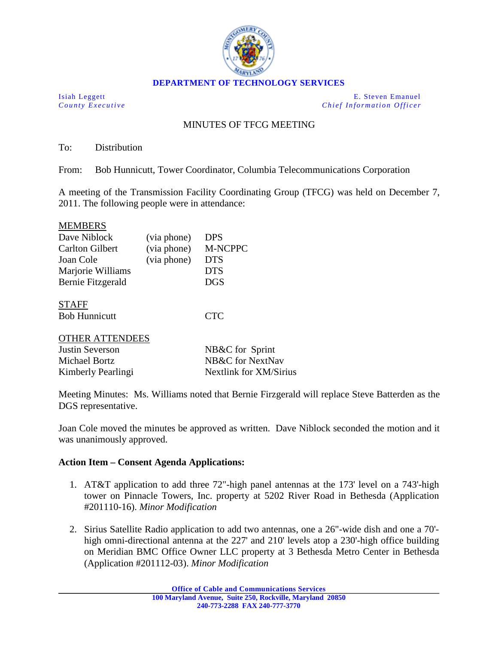

Isiah Leggett E. Steven Emanuel *County Executive Chief Information Officer*

# MINUTES OF TFCG MEETING

To: Distribution

From: Bob Hunnicutt, Tower Coordinator, Columbia Telecommunications Corporation

A meeting of the Transmission Facility Coordinating Group (TFCG) was held on December 7, 2011. The following people were in attendance:

#### MEMBERS

| Dave Niblock           | (via phone) | <b>DPS</b>     |
|------------------------|-------------|----------------|
| <b>Carlton Gilbert</b> | (via phone) | <b>M-NCPPC</b> |
| Joan Cole              | (via phone) | <b>DTS</b>     |
| Marjorie Williams      |             | <b>DTS</b>     |
| Bernie Fitzgerald      |             | <b>DGS</b>     |
|                        |             |                |

Bob Hunnicutt CTC STAFF

### OTHER ATTENDEES

| Justin Severson    | NB&C for Sprint        |
|--------------------|------------------------|
| Michael Bortz      | NB&C for NextNav       |
| Kimberly Pearlingi | Nextlink for XM/Sirius |

Meeting Minutes: Ms. Williams noted that Bernie Firzgerald will replace Steve Batterden as the DGS representative.

Joan Cole moved the minutes be approved as written. Dave Niblock seconded the motion and it was unanimously approved.

### **Action Item – Consent Agenda Applications:**

- 1. AT&T application to add three 72"-high panel antennas at the 173' level on a 743'-high tower on Pinnacle Towers, Inc. property at 5202 River Road in Bethesda (Application #201110-16). *Minor Modification*
- 2. Sirius Satellite Radio application to add two antennas, one a 26"-wide dish and one a 70' high omni-directional antenna at the 227' and 210' levels atop a 230'-high office building on Meridian BMC Office Owner LLC property at 3 Bethesda Metro Center in Bethesda (Application #201112-03). *Minor Modification*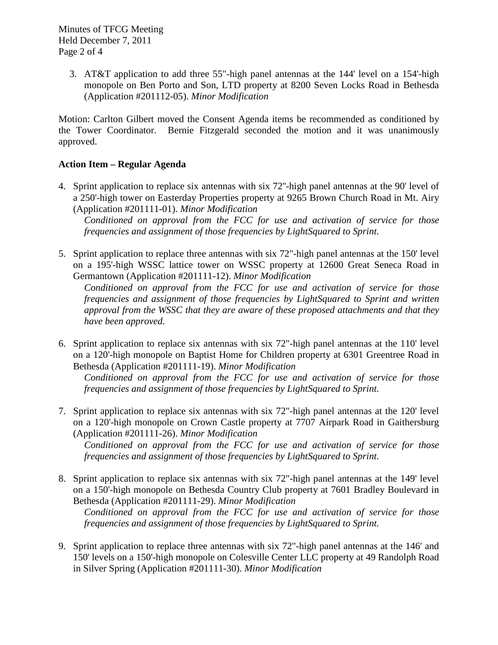3. AT&T application to add three 55"-high panel antennas at the 144' level on a 154'-high monopole on Ben Porto and Son, LTD property at 8200 Seven Locks Road in Bethesda (Application #201112-05). *Minor Modification*

Motion: Carlton Gilbert moved the Consent Agenda items be recommended as conditioned by the Tower Coordinator. Bernie Fitzgerald seconded the motion and it was unanimously approved.

## **Action Item – Regular Agenda**

4. Sprint application to replace six antennas with six 72''-high panel antennas at the 90' level of a 250'-high tower on Easterday Properties property at 9265 Brown Church Road in Mt. Airy (Application #201111-01). *Minor Modification*

*Conditioned on approval from the FCC for use and activation of service for those frequencies and assignment of those frequencies by LightSquared to Sprint.*

5. Sprint application to replace three antennas with six 72"-high panel antennas at the 150' level on a 195'-high WSSC lattice tower on WSSC property at 12600 Great Seneca Road in Germantown (Application #201111-12). *Minor Modification*

*Conditioned on approval from the FCC for use and activation of service for those frequencies and assignment of those frequencies by LightSquared to Sprint and written approval from the WSSC that they are aware of these proposed attachments and that they have been approved.*

6. Sprint application to replace six antennas with six 72"-high panel antennas at the 110' level on a 120'-high monopole on Baptist Home for Children property at 6301 Greentree Road in Bethesda (Application #201111-19). *Minor Modification*

*Conditioned on approval from the FCC for use and activation of service for those frequencies and assignment of those frequencies by LightSquared to Sprint.*

7. Sprint application to replace six antennas with six 72"-high panel antennas at the 120' level on a 120'-high monopole on Crown Castle property at 7707 Airpark Road in Gaithersburg (Application #201111-26). *Minor Modification*

*Conditioned on approval from the FCC for use and activation of service for those frequencies and assignment of those frequencies by LightSquared to Sprint.*

8. Sprint application to replace six antennas with six 72"-high panel antennas at the 149' level on a 150'-high monopole on Bethesda Country Club property at 7601 Bradley Boulevard in Bethesda (Application #201111-29). *Minor Modification*

*Conditioned on approval from the FCC for use and activation of service for those frequencies and assignment of those frequencies by LightSquared to Sprint.*

9. Sprint application to replace three antennas with six 72"-high panel antennas at the 146' and 150' levels on a 150'-high monopole on Colesville Center LLC property at 49 Randolph Road in Silver Spring (Application #201111-30). *Minor Modification*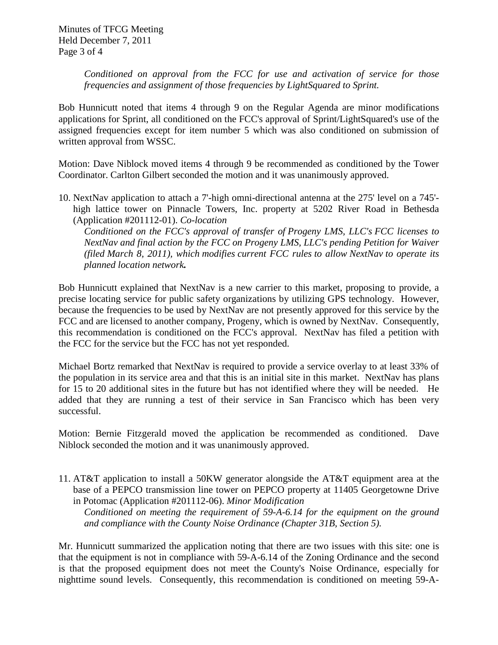*Conditioned on approval from the FCC for use and activation of service for those frequencies and assignment of those frequencies by LightSquared to Sprint.*

Bob Hunnicutt noted that items 4 through 9 on the Regular Agenda are minor modifications applications for Sprint, all conditioned on the FCC's approval of Sprint/LightSquared's use of the assigned frequencies except for item number 5 which was also conditioned on submission of written approval from WSSC.

Motion: Dave Niblock moved items 4 through 9 be recommended as conditioned by the Tower Coordinator. Carlton Gilbert seconded the motion and it was unanimously approved.

10. NextNav application to attach a 7'-high omni-directional antenna at the 275' level on a 745' high lattice tower on Pinnacle Towers, Inc. property at 5202 River Road in Bethesda (Application #201112-01). *Co-location*

*Conditioned on the FCC's approval of transfer of Progeny LMS, LLC's FCC licenses to NextNav and final action by the FCC on Progeny LMS, LLC's pending Petition for Waiver (filed March 8, 2011), which modifies current FCC rules to allow NextNav to operate its planned location network.* 

Bob Hunnicutt explained that NextNav is a new carrier to this market, proposing to provide, a precise locating service for public safety organizations by utilizing GPS technology. However, because the frequencies to be used by NextNav are not presently approved for this service by the FCC and are licensed to another company, Progeny, which is owned by NextNav. Consequently, this recommendation is conditioned on the FCC's approval. NextNav has filed a petition with the FCC for the service but the FCC has not yet responded.

Michael Bortz remarked that NextNav is required to provide a service overlay to at least 33% of the population in its service area and that this is an initial site in this market. NextNav has plans for 15 to 20 additional sites in the future but has not identified where they will be needed. He added that they are running a test of their service in San Francisco which has been very successful.

Motion: Bernie Fitzgerald moved the application be recommended as conditioned. Dave Niblock seconded the motion and it was unanimously approved.

11. AT&T application to install a 50KW generator alongside the AT&T equipment area at the base of a PEPCO transmission line tower on PEPCO property at 11405 Georgetowne Drive in Potomac (Application #201112-06). *Minor Modification*

*Conditioned on meeting the requirement of 59-A-6.14 for the equipment on the ground and compliance with the County Noise Ordinance (Chapter 31B, Section 5).*

Mr. Hunnicutt summarized the application noting that there are two issues with this site: one is that the equipment is not in compliance with 59-A-6.14 of the Zoning Ordinance and the second is that the proposed equipment does not meet the County's Noise Ordinance, especially for nighttime sound levels. Consequently, this recommendation is conditioned on meeting 59-A-